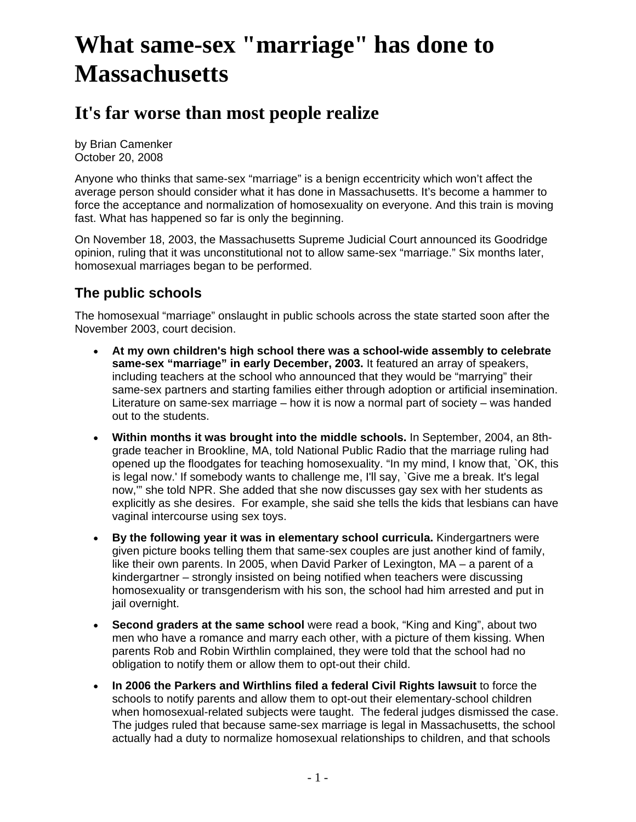# **What same-sex "marriage" has done to Massachusetts**

# **It's far worse than most people realize**

by Brian Camenker October 20, 2008

Anyone who thinks that same-sex "marriage" is a benign eccentricity which won't affect the average person should consider what it has done in Massachusetts. It's become a hammer to force the acceptance and normalization of homosexuality on everyone. And this train is moving fast. What has happened so far is only the beginning.

On November 18, 2003, the Massachusetts Supreme Judicial Court announced its Goodridge opinion, ruling that it was unconstitutional not to allow same-sex "marriage." Six months later, homosexual marriages began to be performed.

# **The public schools**

The homosexual "marriage" onslaught in public schools across the state started soon after the November 2003, court decision.

- **At my own children's high school there was a school-wide assembly to celebrate same-sex "marriage" in early December, 2003.** It featured an array of speakers, including teachers at the school who announced that they would be "marrying" their same-sex partners and starting families either through adoption or artificial insemination. Literature on same-sex marriage – how it is now a normal part of society – was handed out to the students.
- **Within months it was brought into the middle schools.** In September, 2004, an 8thgrade teacher in Brookline, MA, told National Public Radio that the marriage ruling had opened up the floodgates for teaching homosexuality. "In my mind, I know that, `OK, this is legal now.' If somebody wants to challenge me, I'll say, `Give me a break. It's legal now,'" she told NPR. She added that she now discusses gay sex with her students as explicitly as she desires. For example, she said she tells the kids that lesbians can have vaginal intercourse using sex toys.
- **By the following year it was in elementary school curricula.** Kindergartners were given picture books telling them that same-sex couples are just another kind of family, like their own parents. In 2005, when David Parker of Lexington, MA – a parent of a kindergartner – strongly insisted on being notified when teachers were discussing homosexuality or transgenderism with his son, the school had him arrested and put in jail overnight.
- **Second graders at the same school** were read a book, "King and King", about two men who have a romance and marry each other, with a picture of them kissing. When parents Rob and Robin Wirthlin complained, they were told that the school had no obligation to notify them or allow them to opt-out their child.
- **In 2006 the Parkers and Wirthlins filed a federal Civil Rights lawsuit** to force the schools to notify parents and allow them to opt-out their elementary-school children when homosexual-related subjects were taught. The federal judges dismissed the case. The judges ruled that because same-sex marriage is legal in Massachusetts, the school actually had a duty to normalize homosexual relationships to children, and that schools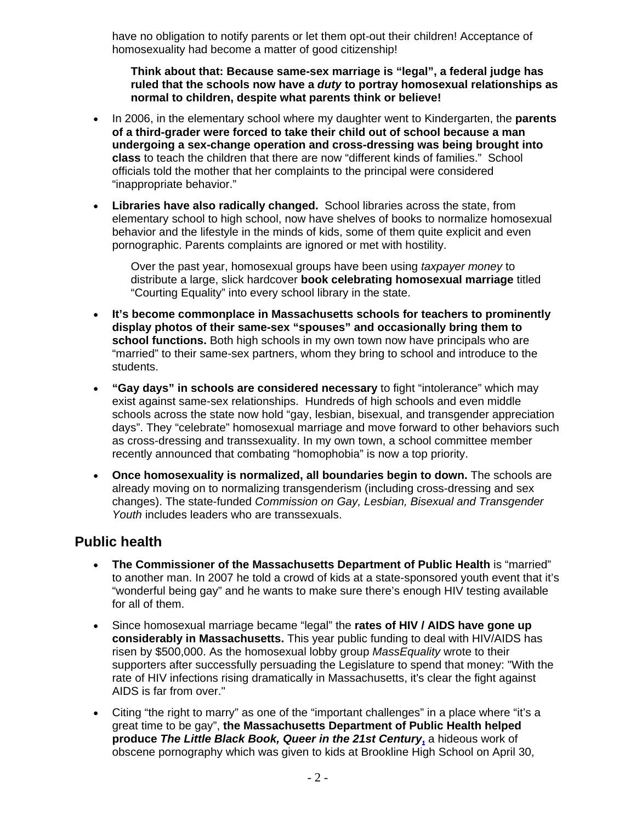have no obligation to notify parents or let them opt-out their children! Acceptance of homosexuality had become a matter of good citizenship!

**Think about that: Because same-sex marriage is "legal", a federal judge has ruled that the schools now have a** *duty* **to portray homosexual relationships as normal to children, despite what parents think or believe!**

- In 2006, in the elementary school where my daughter went to Kindergarten, the **parents of a third-grader were forced to take their child out of school because a man undergoing a sex-change operation and cross-dressing was being brought into class** to teach the children that there are now "different kinds of families." School officials told the mother that her complaints to the principal were considered "inappropriate behavior."
- **Libraries have also radically changed.** School libraries across the state, from elementary school to high school, now have shelves of books to normalize homosexual behavior and the lifestyle in the minds of kids, some of them quite explicit and even pornographic. Parents complaints are ignored or met with hostility.

Over the past year, homosexual groups have been using *taxpayer money* to distribute a large, slick hardcover **book celebrating homosexual marriage** titled "Courting Equality" into every school library in the state.

- **It's become commonplace in Massachusetts schools for teachers to prominently display photos of their same-sex "spouses" and occasionally bring them to school functions.** Both high schools in my own town now have principals who are "married" to their same-sex partners, whom they bring to school and introduce to the students.
- **"Gay days" in schools are considered necessary** to fight "intolerance" which may exist against same-sex relationships. Hundreds of high schools and even middle schools across the state now hold "gay, lesbian, bisexual, and transgender appreciation days". They "celebrate" homosexual marriage and move forward to other behaviors such as cross-dressing and transsexuality. In my own town, a school committee member recently announced that combating "homophobia" is now a top priority.
- **Once homosexuality is normalized, all boundaries begin to down.** The schools are already moving on to normalizing transgenderism (including cross-dressing and sex changes). The state-funded *Commission on Gay, Lesbian, Bisexual and Transgender Youth* includes leaders who are transsexuals.

### **Public health**

- **The Commissioner of the Massachusetts Department of Public Health** is "married" to another man. In 2007 he told a crowd of kids at a state-sponsored youth event that it's "wonderful being gay" and he wants to make sure there's enough HIV testing available for all of them.
- Since homosexual marriage became "legal" the **rates of HIV / AIDS have gone up considerably in Massachusetts.** This year public funding to deal with HIV/AIDS has risen by \$500,000. As the homosexual lobby group *MassEquality* wrote to their supporters after successfully persuading the Legislature to spend that money: "With the rate of HIV infections rising dramatically in Massachusetts, it's clear the fight against AIDS is far from over."
- Citing "the right to marry" as one of the "important challenges" in a place where "it's a great time to be gay", **the Massachusetts Department of Public Health helped produce** *The Little Black Book, Queer in the 21st Century***,** a hideous work of obscene pornography which was given to kids at Brookline High School on April 30,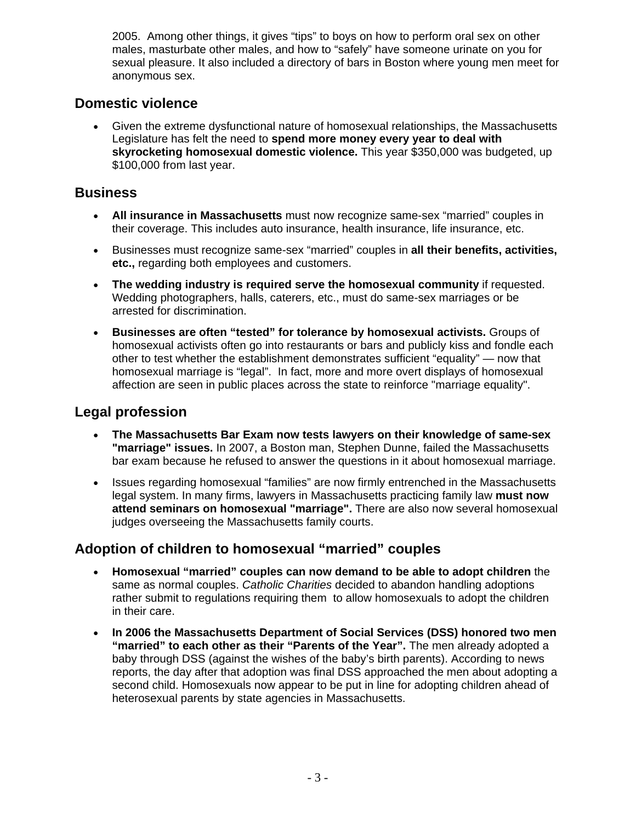2005. Among other things, it gives "tips" to boys on how to perform oral sex on other males, masturbate other males, and how to "safely" have someone urinate on you for sexual pleasure. It also included a directory of bars in Boston where young men meet for anonymous sex.

#### **Domestic violence**

• Given the extreme dysfunctional nature of homosexual relationships, the Massachusetts Legislature has felt the need to **spend more money every year to deal with skyrocketing homosexual domestic violence.** This year \$350,000 was budgeted, up \$100,000 from last year.

## **Business**

- **All insurance in Massachusetts** must now recognize same-sex "married" couples in their coverage. This includes auto insurance, health insurance, life insurance, etc.
- Businesses must recognize same-sex "married" couples in **all their benefits, activities, etc.,** regarding both employees and customers.
- **The wedding industry is required serve the homosexual community** if requested. Wedding photographers, halls, caterers, etc., must do same-sex marriages or be arrested for discrimination.
- **Businesses are often "tested" for tolerance by homosexual activists.** Groups of homosexual activists often go into restaurants or bars and publicly kiss and fondle each other to test whether the establishment demonstrates sufficient "equality" — now that homosexual marriage is "legal". In fact, more and more overt displays of homosexual affection are seen in public places across the state to reinforce "marriage equality".

### **Legal profession**

- **The Massachusetts Bar Exam now tests lawyers on their knowledge of same-sex "marriage" issues.** In 2007, a Boston man, Stephen Dunne, failed the Massachusetts bar exam because he refused to answer the questions in it about homosexual marriage.
- Issues regarding homosexual "families" are now firmly entrenched in the Massachusetts legal system. In many firms, lawyers in Massachusetts practicing family law **must now attend seminars on homosexual "marriage".** There are also now several homosexual judges overseeing the Massachusetts family courts.

### **Adoption of children to homosexual "married" couples**

- **Homosexual "married" couples can now demand to be able to adopt children** the same as normal couples. *Catholic Charities* decided to abandon handling adoptions rather submit to regulations requiring them to allow homosexuals to adopt the children in their care.
- **In 2006 the Massachusetts Department of Social Services (DSS) honored two men "married" to each other as their "Parents of the Year".** The men already adopted a baby through DSS (against the wishes of the baby's birth parents). According to news reports, the day after that adoption was final DSS approached the men about adopting a second child. Homosexuals now appear to be put in line for adopting children ahead of heterosexual parents by state agencies in Massachusetts.